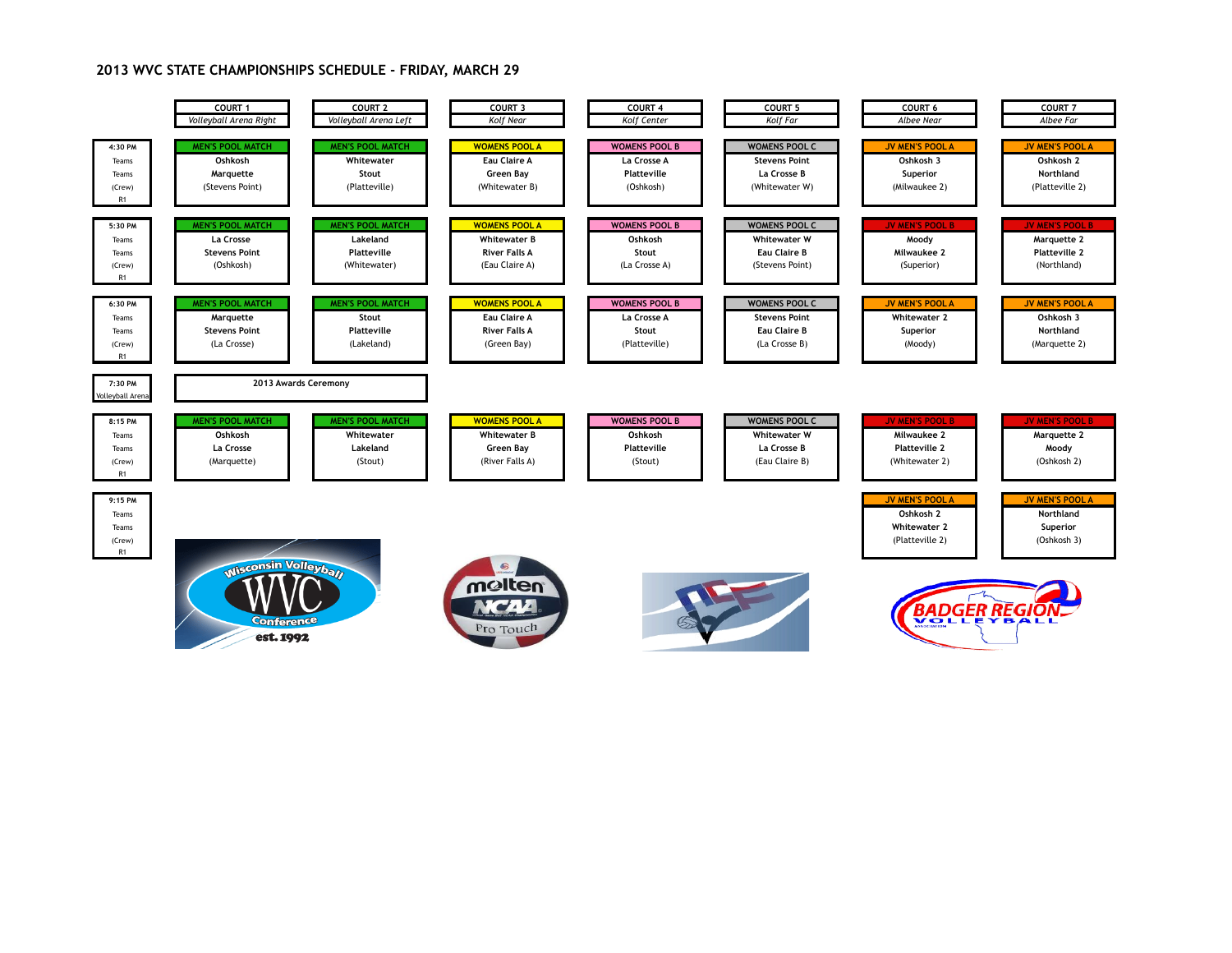## **2013 WVC STATE CHAMPIONSHIPS SCHEDULE - FRIDAY, MARCH 29**

|                                                              | COURT 1<br><b>Volleyball Arena Right</b>                                    | COURT 2<br>Volleyball Arena Left                                     | <b>COURT 3</b><br><b>Kolf Near</b>                                                    | COURT 4<br>Kolf Center                                                 | <b>COURT 5</b><br>Kolf Far                                                           | COURT 6<br><b>Albee Near</b>                                                    | COURT 7<br>Albee Far                                                         |
|--------------------------------------------------------------|-----------------------------------------------------------------------------|----------------------------------------------------------------------|---------------------------------------------------------------------------------------|------------------------------------------------------------------------|--------------------------------------------------------------------------------------|---------------------------------------------------------------------------------|------------------------------------------------------------------------------|
| 4:30 PM<br>Teams<br>Teams<br>(Crew)<br>R1                    | <b>MEN'S POOL MATCH</b><br>Oshkosh<br>Marquette<br>(Stevens Point)          | <b>MEN'S POOL MATCH</b><br>Whitewater<br>Stout<br>(Platteville)      | <b>WOMENS POOL A</b><br><b>Eau Claire A</b><br>Green Bay<br>(Whitewater B)            | <b>WOMENS POOL B</b><br>La Crosse A<br><b>Platteville</b><br>(Oshkosh) | <b>WOMENS POOL C</b><br><b>Stevens Point</b><br>La Crosse B<br>(Whitewater W)        | <b>JV MEN'S POOL A</b><br>Oshkosh 3<br>Superior<br>(Milwaukee 2)                | <b>JV MEN'S POOL A</b><br>Oshkosh 2<br>Northland<br>(Platteville 2)          |
| 5:30 PM<br>Teams<br>Teams<br>(Crew)<br>R1                    | <b>MEN'S POOL MATCH</b><br>La Crosse<br><b>Stevens Point</b><br>(Oshkosh)   | <b>MEN'S POOL MATCH</b><br>Lakeland<br>Platteville<br>(Whitewater)   | <b>WOMENS POOL A</b><br><b>Whitewater B</b><br><b>River Falls A</b><br>(Eau Claire A) | <b>WOMENS POOL B</b><br>Oshkosh<br>Stout<br>(La Crosse A)              | <b>WOMENS POOL C</b><br><b>Whitewater W</b><br>Eau Claire B<br>(Stevens Point)       | <b>JV MEN'S POOL B</b><br>Moody<br>Milwaukee 2<br>(Superior)                    | <b>JV MEN'S POOL B</b><br>Marquette 2<br><b>Platteville 2</b><br>(Northland) |
| 6:30 PM<br>Teams<br>Teams<br>(Crew)<br>R1                    | <b>MEN'S POOL MATCH</b><br>Marquette<br><b>Stevens Point</b><br>(La Crosse) | <b>MEN'S POOL MATCH</b><br>Stout<br><b>Platteville</b><br>(Lakeland) | <b>WOMENS POOL A</b><br><b>Eau Claire A</b><br><b>River Falls A</b><br>(Green Bay)    | <b>WOMENS POOL B</b><br>La Crosse A<br>Stout<br>(Platteville)          | <b>WOMENS POOL C</b><br><b>Stevens Point</b><br><b>Eau Claire B</b><br>(La Crosse B) | <b>JV MEN'S POOL A</b><br>Whitewater 2<br>Superior<br>(Moody)                   | <b>JV MEN'S POOL A</b><br>Oshkosh 3<br>Northland<br>(Marquette 2)            |
| 7:30 PM<br>olleyball Arena                                   | 2013 Awards Ceremony                                                        |                                                                      |                                                                                       |                                                                        |                                                                                      |                                                                                 |                                                                              |
| 8:15 PM<br>Teams<br>Teams<br>(Crew)<br>R1                    | <b>MEN'S POOL MATCH</b><br>Oshkosh<br>La Crosse<br>(Marquette)              | <b>MEN'S POOL MATCH</b><br>Whitewater<br>Lakeland<br>(Stout)         | <b>WOMENS POOL A</b><br><b>Whitewater B</b><br>Green Bay<br>(River Falls A)           | <b>WOMENS POOL B</b><br>Oshkosh<br>Platteville<br>(Stout)              | <b>WOMENS POOL C</b><br><b>Whitewater W</b><br>La Crosse B<br>(Eau Claire B)         | <b>JV MEN'S POOL B</b><br>Milwaukee 2<br><b>Platteville 2</b><br>(Whitewater 2) | <b>JV MEN'S POOL B</b><br>Marquette 2<br>Moody<br>(Oshkosh 2)                |
| 9:15 PM<br>Teams<br>Teams<br>(Crew)<br>R1                    |                                                                             |                                                                      |                                                                                       |                                                                        |                                                                                      | <b>JV MEN'S POOL A</b><br>Oshkosh 2<br><b>Whitewater 2</b><br>(Platteville 2)   | <b>JV MEN'S POOL A</b><br>Northland<br>Superior<br>(Oshkosh 3)               |
| <b>Misconsin Volleyban</b><br><b>Conference</b><br>est. 1992 |                                                                             |                                                                      | $\circledcirc$<br>molten<br>Pro Touch                                                 |                                                                        |                                                                                      | <u>BADGER REGIOL</u>                                                            |                                                                              |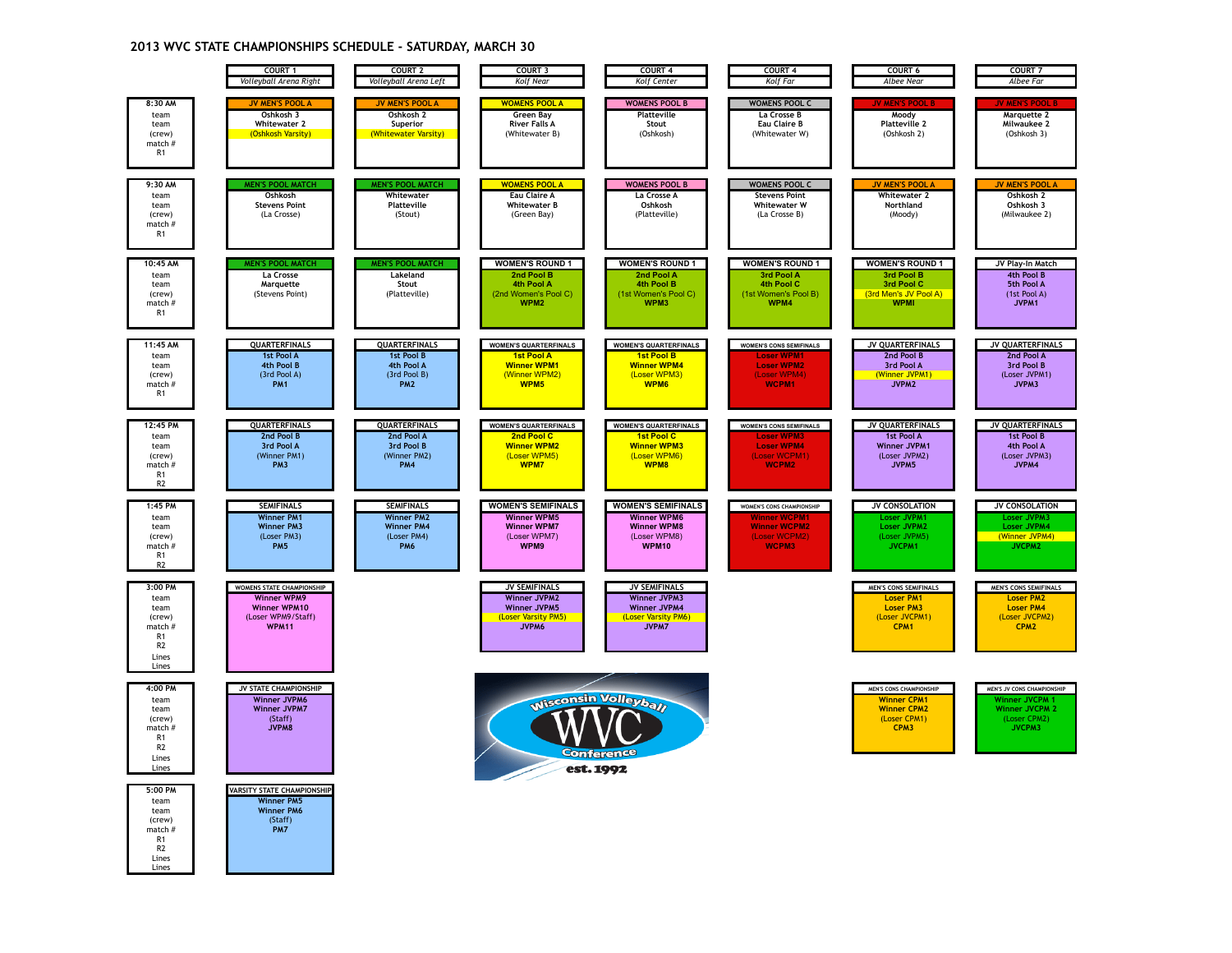## **2013 WVC STATE CHAMPIONSHIPS SCHEDULE - SATURDAY, MARCH 30**

Lines

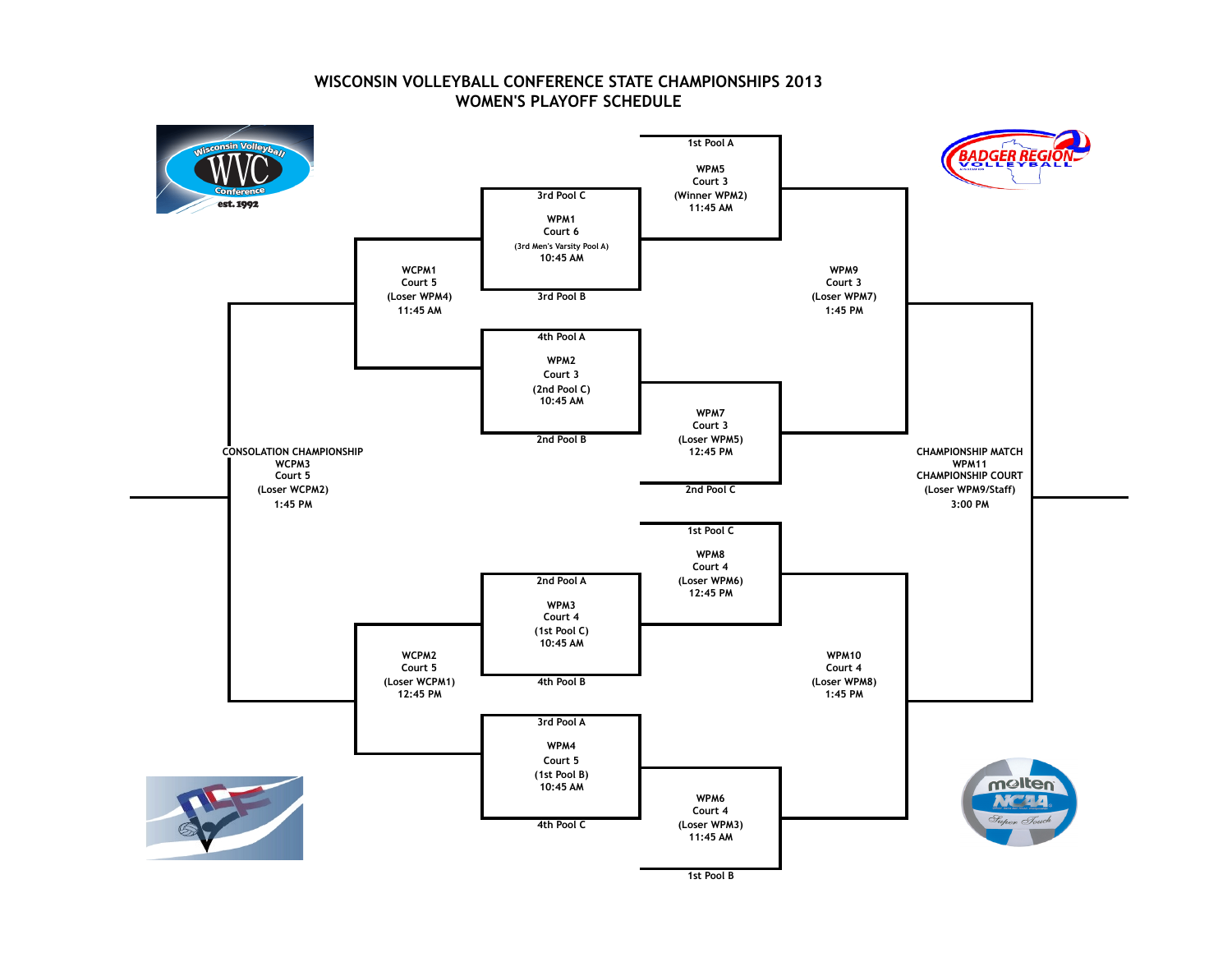

## **WISCONSIN VOLLEYBALL CONFERENCE STATE CHAMPIONSHIPS 2013 WOMEN'S PLAYOFF SCHEDULE**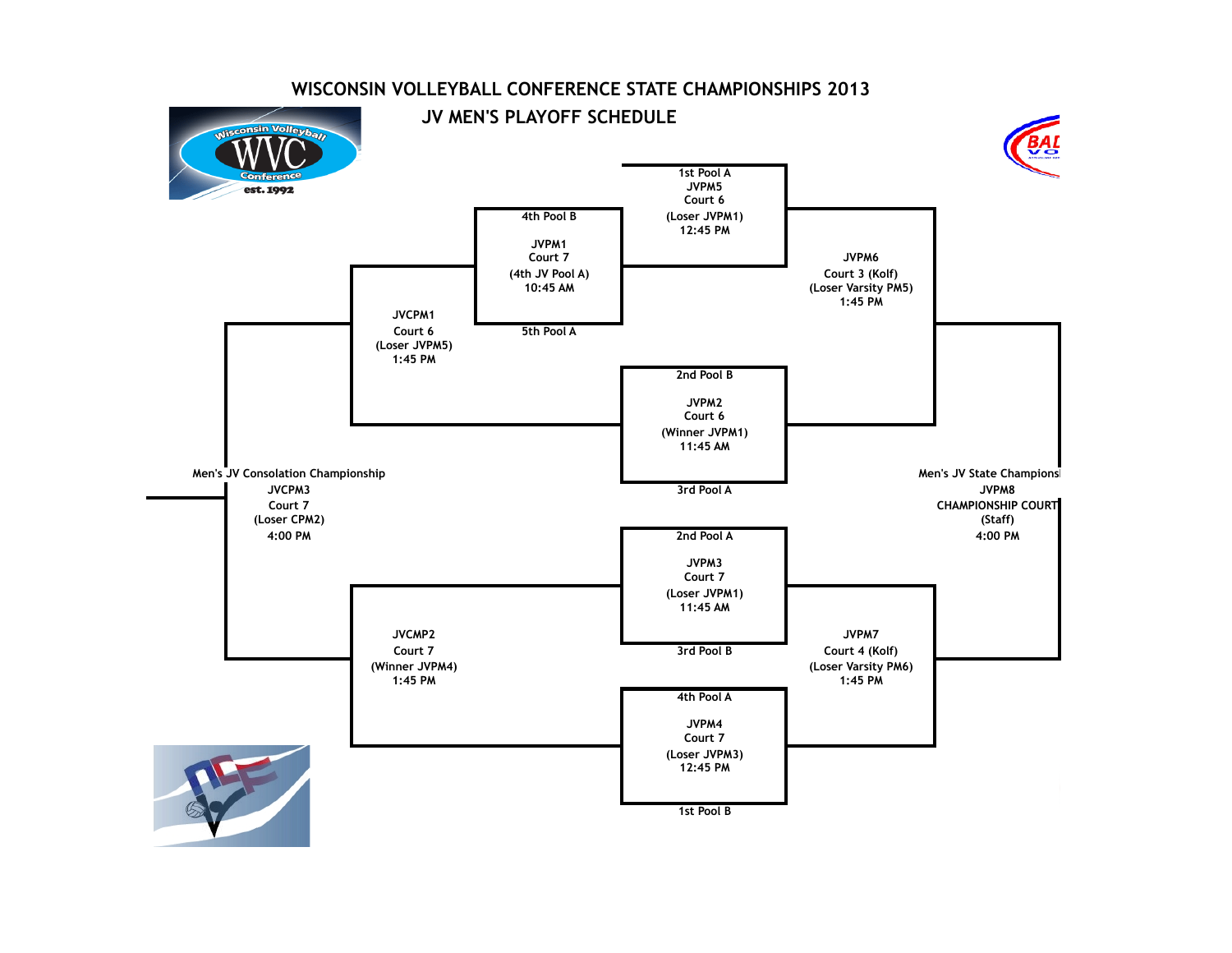

**WISCONSIN VOLLEYBALL CONFERENCE STATE CHAMPIONSHIPS 2013**